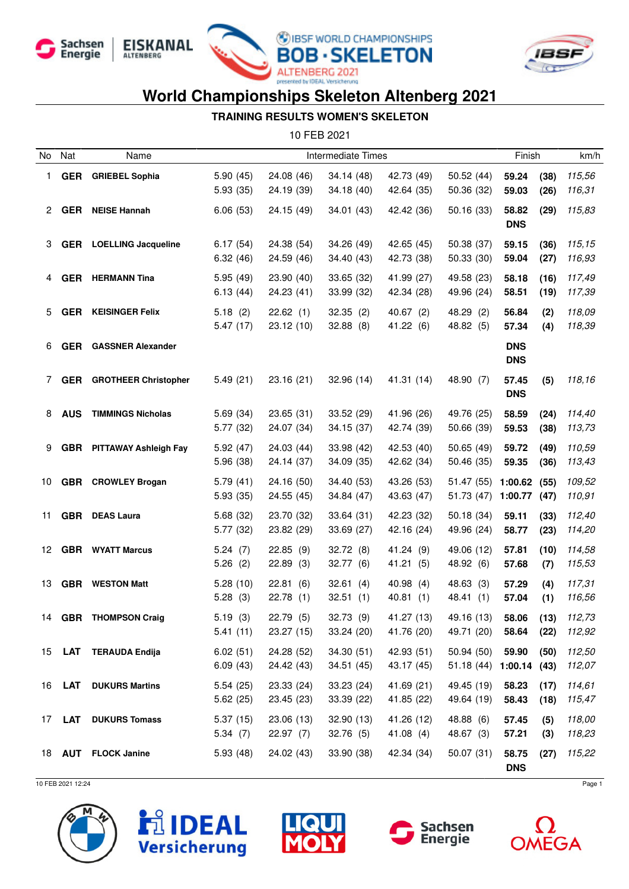







#### **TRAINING RESULTS WOMEN'S SKELETON**

10 FEB 2021

| No | Nat           | Name                         | Intermediate Times     |                          |                          |                           | Finish                                |                          | km/h         |                           |
|----|---------------|------------------------------|------------------------|--------------------------|--------------------------|---------------------------|---------------------------------------|--------------------------|--------------|---------------------------|
| 1. | <b>GER</b>    | <b>GRIEBEL Sophia</b>        | 5.90(45)<br>5.93(35)   | 24.08 (46)<br>24.19 (39) | 34.14(48)<br>34.18(40)   | 42.73 (49)<br>42.64 (35)  | 50.52(44)<br>50.36 (32)               | 59.24<br>59.03           | (38)<br>(26) | 115,56<br>116,31          |
| 2  | <b>GER</b>    | <b>NEISE Hannah</b>          | 6.06(53)               | 24.15 (49)               | 34.01(43)                | 42.42 (36)                | 50.16 (33)                            | 58.82<br><b>DNS</b>      | (29)         | 115,83                    |
| 3  | GER           | <b>LOELLING Jacqueline</b>   | 6.17(54)<br>6.32(46)   | 24.38 (54)<br>24.59 (46) | 34.26 (49)<br>34.40 (43) | 42.65 (45)<br>42.73 (38)  | 50.38 (37)<br>50.33 (30)              | 59.15<br>59.04           | (36)<br>(27) | 115,15<br>116,93          |
| 4  | <b>GER</b>    | <b>HERMANN Tina</b>          | 5.95(49)<br>6.13(44)   | 23.90 (40)<br>24.23 (41) | 33.65(32)<br>33.99 (32)  | 41.99 (27)<br>42.34 (28)  | 49.58 (23)<br>49.96 (24)              | 58.18<br>58.51           | (16)<br>(19) | 117,49<br>117,39          |
| 5  | <b>GER</b>    | <b>KEISINGER Felix</b>       | 5.18(2)<br>5.47(17)    | 22.62(1)<br>23.12 (10)   | 32.35(2)<br>32.88(8)     | 40.67(2)<br>41.22 (6)     | 48.29 (2)<br>48.82 (5)                | 56.84<br>57.34           | (2)<br>(4)   | 118,09<br>118,39          |
| 6  | <b>GER</b>    | <b>GASSNER Alexander</b>     |                        |                          |                          |                           |                                       | <b>DNS</b><br><b>DNS</b> |              |                           |
| 7  | <b>GER</b>    | <b>GROTHEER Christopher</b>  | 5.49(21)               | 23.16 (21)               | 32.96(14)                | 41.31 (14)                | 48.90 (7)                             | 57.45<br><b>DNS</b>      | (5)          | 118,16                    |
| 8  | <b>AUS</b>    | <b>TIMMINGS Nicholas</b>     | 5.69(34)<br>5.77 (32)  | 23.65(31)<br>24.07 (34)  | 33.52(29)<br>34.15(37)   | 41.96 (26)<br>42.74 (39)  | 49.76 (25)<br>50.66 (39)              | 58.59<br>59.53           | (24)<br>(38) | 114,40<br>113,73          |
| 9  | <b>GBR</b>    | <b>PITTAWAY Ashleigh Fay</b> | 5.92(47)<br>5.96 (38)  | 24.03 (44)<br>24.14 (37) | 33.98 (42)<br>34.09 (35) | 42.53 (40)<br>42.62 (34)  | 50.65(49)<br>50.46 (35)               | 59.72<br>59.35           | (49)<br>(36) | 110,59<br>113,43          |
| 10 |               | <b>GBR</b> CROWLEY Brogan    | 5.79(41)<br>5.93(35)   | 24.16 (50)<br>24.55 (45) | 34.40 (53)<br>34.84 (47) | 43.26 (53)<br>43.63 (47)  | 51.47 (55)<br>51.73 (47)              | 1:00.62<br>1:00.77       | (55)<br>(47) | 109,52<br>110,91          |
| 11 |               | <b>GBR</b> DEAS Laura        | 5.68 (32)<br>5.77 (32) | 23.70 (32)<br>23.82 (29) | 33.64(31)<br>33.69 (27)  | 42.23 (32)<br>42.16 (24)  | 50.18 (34)<br>49.96 (24)              | 59.11<br>58.77           | (33)<br>(23) | 112,40<br>114,20          |
| 12 |               | <b>GBR</b> WYATT Marcus      | 5.24(7)<br>5.26(2)     | 22.85(9)<br>22.89(3)     | 32.72(8)<br>32.77(6)     | 41.24 (9)<br>41.21 (5)    | 49.06 (12)<br>48.92 (6)               | 57.81<br>57.68           | (10)<br>(7)  | 114,58<br>115,53          |
| 13 |               | <b>GBR</b> WESTON Matt       | 5.28(10)<br>5.28(3)    | 22.81<br>(6)<br>22.78(1) | 32.61(4)<br>32.51(1)     | 40.98(4)<br>40.81(1)      | 48.63 (3)<br>48.41 (1)                | 57.29<br>57.04           | (4)<br>(1)   | 117,31<br>116,56          |
| 14 |               | <b>GBR</b> THOMPSON Craig    | 5.19(3)<br>5.41(11)    | 22.79 (5)<br>23.27 (15)  | 32.73 (9)<br>33.24(20)   | 41.27 (13)<br>41.76 (20)  | 49.16 (13)<br>49.71 (20)              | 58.06<br>58.64 (22)      |              | $(13)$ $112,73$<br>112,92 |
|    |               | 15 LAT TERAUDA Endija        | 6.02(51)<br>6.09(43)   | 24.28 (52)<br>24.42 (43) | 34.30(51)<br>34.51 (45)  | 42.93(51)<br>43.17 (45)   | 50.94(50)<br>$51.18(44)$ 1:00.14 (43) | 59.90                    | (50)         | 112,50<br>112,07          |
|    | 16 <b>LAT</b> | <b>DUKURS Martins</b>        | 5.54(25)<br>5.62(25)   | 23.33 (24)<br>23.45 (23) | 33.23 (24)<br>33.39 (22) | 41.69 (21)<br>41.85 (22)  | 49.45 (19)<br>49.64 (19)              | 58.23<br>58.43           | (17)<br>(18) | 114,61<br>115,47          |
|    | 17 <b>LAT</b> | <b>DUKURS Tomass</b>         | 5.37(15)<br>5.34(7)    | 23.06 (13)<br>22.97(7)   | 32.90(13)<br>32.76(5)    | 41.26 (12)<br>41.08 $(4)$ | 48.88 (6)<br>48.67 (3)                | 57.45<br>57.21           | (5)<br>(3)   | 118,00<br>118,23          |
|    |               | 18 AUT FLOCK Janine          | 5.93(48)               | 24.02 (43)               | 33.90 (38)               | 42.34 (34)                | 50.07(31)                             | 58.75<br><b>DNS</b>      | (27)         | 115,22                    |

10 FEB 2021 12:24 Page 1





![](_page_0_Picture_11.jpeg)

![](_page_0_Picture_12.jpeg)

![](_page_0_Picture_13.jpeg)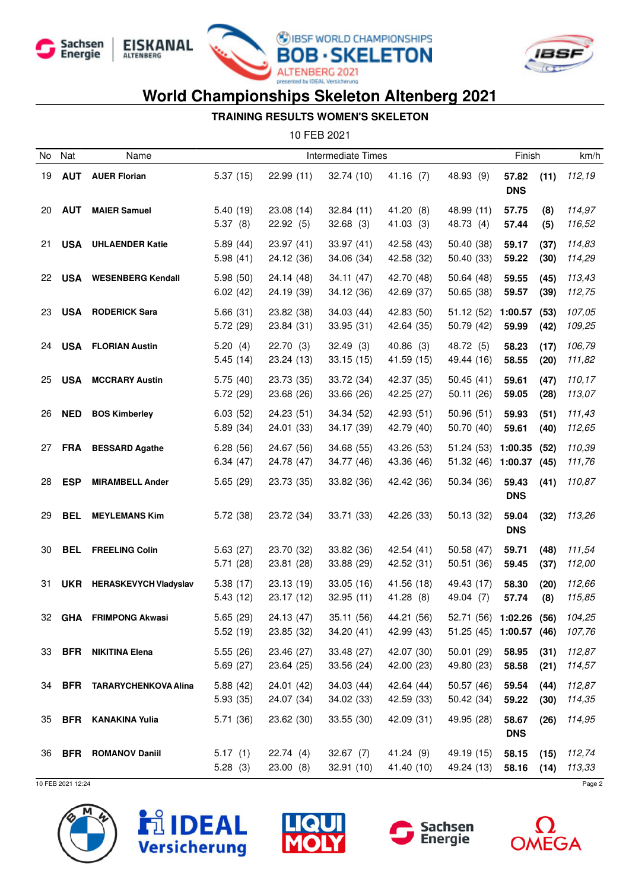![](_page_1_Picture_0.jpeg)

![](_page_1_Picture_1.jpeg)

![](_page_1_Picture_2.jpeg)

![](_page_1_Picture_3.jpeg)

### **TRAINING RESULTS WOMEN'S SKELETON**

10 FEB 2021

| No.      | Nat                      | Name                                          | Intermediate Times    |                          |                          |                          |                                       | Finish                       |              | km/h             |
|----------|--------------------------|-----------------------------------------------|-----------------------|--------------------------|--------------------------|--------------------------|---------------------------------------|------------------------------|--------------|------------------|
| 19       | <b>AUT</b>               | <b>AUER Florian</b>                           | 5.37(15)              | 22.99(11)                | 32.74 (10)               | 41.16(7)                 | 48.93 (9)                             | 57.82<br><b>DNS</b>          | (11)         | 112,19           |
| 20       | <b>AUT</b>               | <b>MAIER Samuel</b>                           | 5.40(19)<br>5.37(8)   | 23.08 (14)<br>22.92(5)   | 32.84(11)<br>32.68(3)    | 41.20 (8)<br>41.03(3)    | 48.99 (11)<br>48.73 (4)               | 57.75<br>57.44               | (8)<br>(5)   | 114,97<br>116,52 |
| 21       | USA                      | <b>UHLAENDER Katie</b>                        | 5.89(44)<br>5.98(41)  | 23.97 (41)<br>24.12 (36) | 33.97 (41)<br>34.06 (34) | 42.58 (43)<br>42.58 (32) | 50.40 (38)<br>50.40 (33)              | 59.17<br>59.22               | (37)<br>(30) | 114,83<br>114,29 |
| 22       |                          | <b>USA</b> WESENBERG Kendall                  | 5.98(50)<br>6.02(42)  | 24.14 (48)<br>24.19 (39) | 34.11 (47)<br>34.12 (36) | 42.70 (48)<br>42.69 (37) | 50.64(48)<br>50.65 (38)               | 59.55<br>59.57               | (45)<br>(39) | 113,43<br>112,75 |
| 23       |                          | <b>USA</b> RODERICK Sara                      | 5.66(31)<br>5.72 (29) | 23.82 (38)<br>23.84 (31) | 34.03(44)<br>33.95 (31)  | 42.83 (50)<br>42.64 (35) | 51.12(52)<br>50.79 (42)               | 1:00.57<br>59.99             | (53)<br>(42) | 107,05<br>109,25 |
| 24       |                          | <b>USA</b> FLORIAN Austin                     | 5.20(4)<br>5.45(14)   | 22.70(3)<br>23.24 (13)   | 32.49(3)<br>33.15(15)    | 40.86(3)<br>41.59 (15)   | 48.72 (5)<br>49.44 (16)               | 58.23<br>58.55               | (17)<br>(20) | 106,79<br>111,82 |
| 25       | <b>USA</b>               | <b>MCCRARY Austin</b>                         | 5.75(40)<br>5.72(29)  | 23.73 (35)<br>23.68 (26) | 33.72 (34)<br>33.66 (26) | 42.37 (35)<br>42.25 (27) | 50.45(41)<br>50.11(26)                | 59.61<br>59.05               | (47)<br>(28) | 110,17<br>113,07 |
| 26       | <b>NED</b>               | <b>BOS Kimberley</b>                          | 6.03(52)<br>5.89(34)  | 24.23 (51)<br>24.01 (33) | 34.34 (52)<br>34.17 (39) | 42.93 (51)<br>42.79 (40) | 50.96(51)<br>50.70 (40)               | 59.93<br>59.61               | (51)<br>(40) | 111,43<br>112,65 |
| 27       | <b>FRA</b>               | <b>BESSARD Agathe</b>                         | 6.28(56)<br>6.34(47)  | 24.67 (56)<br>24.78 (47) | 34.68 (55)<br>34.77 (46) | 43.26 (53)<br>43.36 (46) | 51.24(53)<br>51.32 (46)               | 1:00.35<br>1:00.37           | (52)<br>(45) | 110,39<br>111,76 |
| 28       | <b>ESP</b>               | <b>MIRAMBELL Ander</b>                        | 5.65(29)              | 23.73 (35)               | 33.82 (36)               | 42.42 (36)               | 50.34 (36)                            | 59.43<br><b>DNS</b><br>59.04 | (41)         | 110,87           |
| 29<br>30 | <b>BEL</b><br><b>BEL</b> | <b>MEYLEMANS Kim</b><br><b>FREELING Colin</b> | 5.72(38)<br>5.63(27)  | 23.72 (34)<br>23.70 (32) | 33.71 (33)<br>33.82 (36) | 42.26 (33)<br>42.54 (41) | 50.13 (32)<br>50.58 (47)              | <b>DNS</b><br>59.71          | (32)<br>(48) | 113,26<br>111,54 |
| 31       |                          | UKR HERASKEVYCH Vladyslav                     | 5.71(28)<br>5.38(17)  | 23.81 (28)<br>23.13 (19) | 33.88 (29)<br>33.05(16)  | 42.52 (31)<br>41.56 (18) | 50.51 (36)<br>49.43 (17)              | 59.45<br>58.30               | (37)<br>(20) | 112,00<br>112,66 |
| 32       | <b>GHA</b>               | <b>FRIMPONG Akwasi</b>                        | 5.43(12)<br>5.65(29)  | 23.17 (12)<br>24.13 (47) | 32.95(11)<br>35.11 (56)  | 41.28 (8)<br>44.21 (56)  | 49.04 (7)<br>52.71 (56)               | 57.74<br>1:02.26             | (8)<br>(56)  | 115,85<br>104,25 |
| 33       | <b>BFR</b>               | <b>NIKITINA Elena</b>                         | 5.52(19)<br>5.55(26)  | 23.85 (32)<br>23.46 (27) | 34.20 (41)<br>33.48 (27) | 42.99 (43)<br>42.07 (30) | 51.25 (45) 1:00.57 (46)<br>50.01 (29) | 58.95                        | (31)         | 107,76<br>112,87 |
| 34       |                          | <b>BFR TARARYCHENKOVA Alina</b>               | 5.69(27)<br>5.88(42)  | 23.64 (25)<br>24.01 (42) | 33.56 (24)<br>34.03 (44) | 42.00 (23)<br>42.64 (44) | 49.80 (23)<br>50.57 (46)              | 58.58<br>59.54               | (21)<br>(44) | 114,57<br>112,87 |
| 35       | <b>BFR</b>               | <b>KANAKINA Yulia</b>                         | 5.93(35)<br>5.71(36)  | 24.07 (34)<br>23.62 (30) | 34.02 (33)<br>33.55 (30) | 42.59 (33)<br>42.09 (31) | 50.42 (34)<br>49.95 (28)              | 59.22<br>58.67               | (30)<br>(26) | 114,35<br>114,95 |
| 36       | <b>BFR</b>               | <b>ROMANOV Daniil</b>                         | 5.17(1)               | 22.74(4)                 | 32.67(7)                 | 41.24 (9)                | 49.19 (15)                            | <b>DNS</b><br>58.15          | (15)         | 112,74           |
|          | 10 FEB 2021 12:24        |                                               | 5.28(3)               | 23.00(8)                 | 32.91(10)                | 41.40 (10)               | 49.24 (13)                            | 58.16                        | (14)         | 113,33<br>Page 2 |

![](_page_1_Picture_9.jpeg)

![](_page_1_Picture_10.jpeg)

![](_page_1_Picture_11.jpeg)

![](_page_1_Picture_12.jpeg)

![](_page_1_Picture_13.jpeg)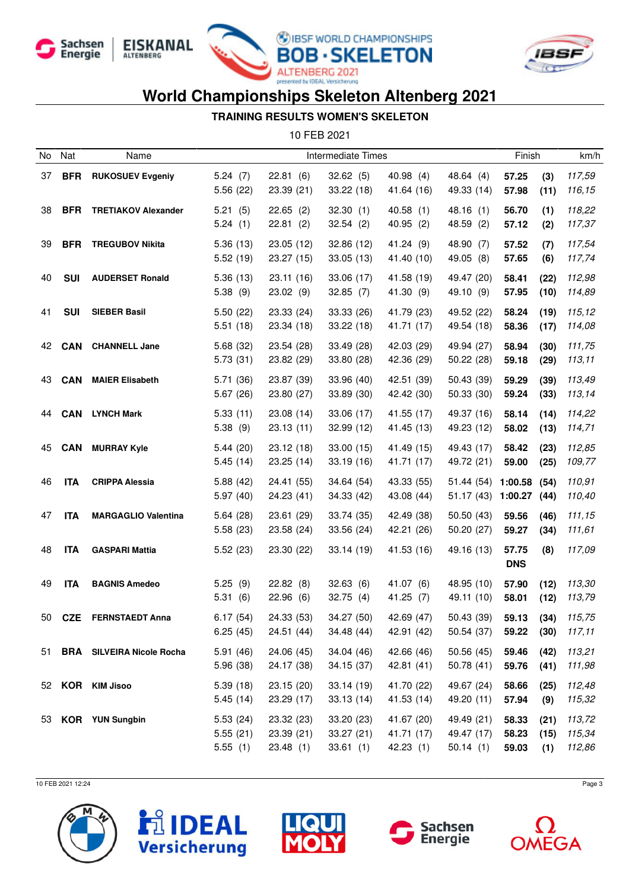![](_page_2_Picture_0.jpeg)

![](_page_2_Picture_1.jpeg)

![](_page_2_Picture_2.jpeg)

![](_page_2_Picture_3.jpeg)

### **TRAINING RESULTS WOMEN'S SKELETON**

10 FEB 2021

| No  | Nat        | Name                             |                                 |                                      | Intermediate Times                  |                                      |                                      | Finish                  |                     | km/h                       |
|-----|------------|----------------------------------|---------------------------------|--------------------------------------|-------------------------------------|--------------------------------------|--------------------------------------|-------------------------|---------------------|----------------------------|
| 37  | <b>BFR</b> | <b>RUKOSUEV Evgeniy</b>          | 5.24(7)<br>5.56(22)             | 22.81(6)<br>23.39 (21)               | 32.62(5)<br>33.22(18)               | 40.98(4)<br>41.64 (16)               | 48.64 (4)<br>49.33 (14)              | 57.25<br>57.98          | (3)<br>(11)         | 117,59<br>116,15           |
| 38  | <b>BFR</b> | <b>TRETIAKOV Alexander</b>       | 5.21(5)<br>5.24(1)              | $22.65$ (2)<br>22.81(2)              | 32.30(1)<br>32.54(2)                | 40.58(1)<br>40.95(2)                 | 48.16 (1)<br>48.59 (2)               | 56.70<br>57.12          | (1)<br>(2)          | 118,22<br>117,37           |
| 39  | <b>BFR</b> | <b>TREGUBOV Nikita</b>           | 5.36(13)<br>5.52(19)            | 23.05 (12)<br>23.27 (15)             | 32.86 (12)<br>33.05(13)             | 41.24(9)<br>41.40 (10)               | 48.90 (7)<br>49.05 (8)               | 57.52<br>57.65          | (7)<br>(6)          | 117,54<br>117,74           |
| 40  | <b>SUI</b> | <b>AUDERSET Ronald</b>           | 5.36(13)<br>5.38(9)             | 23.11 (16)<br>23.02(9)               | 33.06 (17)<br>32.85(7)              | 41.58 (19)<br>41.30 (9)              | 49.47 (20)<br>49.10 (9)              | 58.41<br>57.95          | (22)<br>(10)        | 112,98<br>114,89           |
| 41  | <b>SUI</b> | <b>SIEBER Basil</b>              | 5.50(22)<br>5.51(18)            | 23.33 (24)<br>23.34 (18)             | 33.33 (26)<br>33.22(18)             | 41.79 (23)<br>41.71 (17)             | 49.52 (22)<br>49.54 (18)             | 58.24<br>58.36          | (19)<br>(17)        | 115,12<br>114,08           |
| 42  | <b>CAN</b> | <b>CHANNELL Jane</b>             | 5.68 (32)<br>5.73(31)           | 23.54 (28)<br>23.82 (29)             | 33.49 (28)<br>33.80 (28)            | 42.03 (29)<br>42.36 (29)             | 49.94 (27)<br>50.22(28)              | 58.94<br>59.18          | (30)<br>(29)        | 111,75<br>113,11           |
| 43  | <b>CAN</b> | <b>MAIER Elisabeth</b>           | 5.71 (36)<br>5.67(26)           | 23.87 (39)<br>23.80 (27)             | 33.96 (40)<br>33.89 (30)            | 42.51 (39)<br>42.42 (30)             | 50.43 (39)<br>50.33(30)              | 59.29<br>59.24          | (39)<br>(33)        | 113,49<br>113,14           |
| 44  | <b>CAN</b> | <b>LYNCH Mark</b>                | 5.33(11)<br>5.38(9)             | 23.08 (14)<br>23.13(11)              | 33.06 (17)<br>32.99 (12)            | 41.55 (17)<br>41.45 (13)             | 49.37 (16)<br>49.23 (12)             | 58.14<br>58.02          | (14)<br>(13)        | 114,22<br>114,71           |
| 45  | <b>CAN</b> | <b>MURRAY Kyle</b>               | 5.44(20)<br>5.45(14)            | 23.12 (18)<br>23.25 (14)             | 33.00 (15)<br>33.19(16)             | 41.49 (15)<br>41.71 (17)             | 49.43 (17)<br>49.72 (21)             | 58.42<br>59.00          | (23)<br>(25)        | 112,85<br>109,77           |
| 46  | <b>ITA</b> | <b>CRIPPA Alessia</b>            | 5.88(42)<br>5.97(40)            | 24.41 (55)<br>24.23 (41)             | 34.64(54)<br>34.33 (42)             | 43.33 (55)<br>43.08 (44)             | 51.44(54)<br>51.17 (43) 1:00.27 (44) | 1:00.58                 | (54)                | 110,91<br>110,40           |
| 47  | <b>ITA</b> | <b>MARGAGLIO Valentina</b>       | 5.64(28)<br>5.58(23)            | 23.61 (29)<br>23.58 (24)             | 33.74 (35)<br>33.56(24)             | 42.49 (38)<br>42.21 (26)             | 50.50(43)<br>50.20 (27)              | 59.56<br>59.27          | (46)<br>(34)        | 111,15<br>111,61           |
| 48  | <b>ITA</b> | <b>GASPARI Mattia</b>            | 5.52(23)                        | 23.30 (22)                           | 33.14 (19)                          | 41.53 (16)                           | 49.16 (13)                           | 57.75<br><b>DNS</b>     | (8)                 | 117,09                     |
| 49  | <b>ITA</b> | <b>BAGNIS Amedeo</b>             | 5.25(9)<br>5.31(6)              | 22.82(8)<br>22.96(6)                 | 32.63(6)<br>32.75(4)                | 41.07 (6)<br>41.25(7)                | 48.95 (10)<br>49.11 (10)             | 57.90<br>58.01          | (12)<br>(12)        | 113,30<br>113,79           |
| 50  | <b>CZE</b> | <b>FERNSTAEDT Anna</b>           | 6.17(54)<br>6.25(45)            | 24.33 (53)<br>24.51(44)              | 34.27 (50)<br>34.48 (44)            | 42.69 (47)<br>42.91 (42)             | 50.43 (39)<br>50.54 (37) 59.22 (30)  | 59.13                   | (34)                | 115,75<br>117,11           |
| 51. |            | <b>BRA</b> SILVEIRA Nicole Rocha | 5.91(46)<br>5.96(38)            | 24.06 (45)<br>24.17 (38)             | 34.04 (46)<br>34.15(37)             | 42.66 (46)<br>42.81(41)              | 50.56(45)<br>50.78(41)               | 59.46<br>59.76          | (42)<br>(41)        | 113,21<br>111,98           |
|     |            | 52 KOR KIM Jisoo                 | 5.39(18)<br>5.45(14)            | 23.15(20)<br>23.29 (17)              | 33.14(19)<br>33.13(14)              | 41.70 (22)<br>41.53(14)              | 49.67 (24)<br>49.20 (11)             | 58.66<br>57.94          | (25)<br>(9)         | 112,48<br>115,32           |
|     |            | 53 KOR YUN Sungbin               | 5.53(24)<br>5.55(21)<br>5.55(1) | 23.32 (23)<br>23.39 (21)<br>23.48(1) | 33.20 (23)<br>33.27(21)<br>33.61(1) | 41.67 (20)<br>41.71 (17)<br>42.23(1) | 49.49 (21)<br>49.47 (17)<br>50.14(1) | 58.33<br>58.23<br>59.03 | (21)<br>(15)<br>(1) | 113,72<br>115,34<br>112,86 |

10 FEB 2021 12:24 Page 3

![](_page_2_Picture_9.jpeg)

![](_page_2_Picture_10.jpeg)

![](_page_2_Picture_11.jpeg)

![](_page_2_Picture_12.jpeg)

![](_page_2_Picture_13.jpeg)